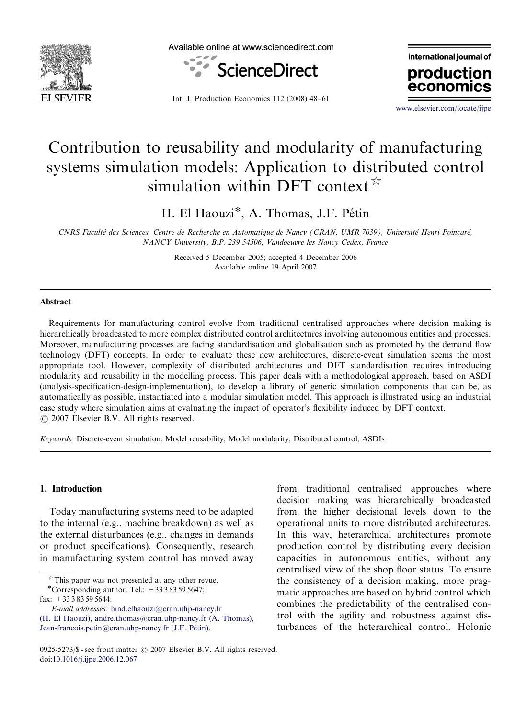

Available online at www.sciencedirect.com



Int. J. Production Economics 112 (2008) 48–61

international journal of production econor

<www.elsevier.com/locate/ijpe>

# Contribution to reusability and modularity of manufacturing systems simulation models: Application to distributed control simulation within DFT context  $\mathbb{R}$

H. El Haouzi<sup>\*</sup>, A. Thomas, J.F. Pétin

CNRS Faculté des Sciences, Centre de Recherche en Automatique de Nancy (CRAN, UMR 7039), Université Henri Poincaré, NANCY University, B.P. 239 54506, Vandoeuvre les Nancy Cedex, France

> Received 5 December 2005; accepted 4 December 2006 Available online 19 April 2007

#### Abstract

Requirements for manufacturing control evolve from traditional centralised approaches where decision making is hierarchically broadcasted to more complex distributed control architectures involving autonomous entities and processes. Moreover, manufacturing processes are facing standardisation and globalisation such as promoted by the demand flow technology (DFT) concepts. In order to evaluate these new architectures, discrete-event simulation seems the most appropriate tool. However, complexity of distributed architectures and DFT standardisation requires introducing modularity and reusability in the modelling process. This paper deals with a methodological approach, based on ASDI (analysis-specification-design-implementation), to develop a library of generic simulation components that can be, as automatically as possible, instantiated into a modular simulation model. This approach is illustrated using an industrial case study where simulation aims at evaluating the impact of operator's flexibility induced by DFT context.  $\odot$  2007 Elsevier B.V. All rights reserved.

Keywords: Discrete-event simulation; Model reusability; Model modularity; Distributed control; ASDIs

## 1. Introduction

Today manufacturing systems need to be adapted to the internal (e.g., machine breakdown) as well as the external disturbances (e.g., changes in demands or product specifications). Consequently, research in manufacturing system control has moved away

fax: +33 3 83 59 5644.

from traditional centralised approaches where decision making was hierarchically broadcasted from the higher decisional levels down to the operational units to more distributed architectures. In this way, heterarchical architectures promote production control by distributing every decision capacities in autonomous entities, without any centralised view of the shop floor status. To ensure the consistency of a decision making, more pragmatic approaches are based on hybrid control which combines the predictability of the centralised control with the agility and robustness against disturbances of the heterarchical control. Holonic

 $\overrightarrow{r}$  This paper was not presented at any other revue.

<sup>\*</sup>Corresponding author. Tel.:  $+33383595647$ ;

E-mail addresses: [hind.elhaouzi@cran.uhp-nancy.fr](mailto:hind.elhaouzi@cran.uhp-nancy.fr) [\(H. El Haouzi\)](mailto:hind.elhaouzi@cran.uhp-nancy.fr), [andre.thomas@cran.uhp-nancy.fr \(A. Thomas\)](mailto:andre.thomas@cran.uhp-nancy.fr), Jean-francois.petin@cran.uhp-nancy.fr (J.F. Pétin).

<sup>0925-5273/\$ -</sup> see front matter  $\odot$  2007 Elsevier B.V. All rights reserved. doi[:10.1016/j.ijpe.2006.12.067](dx.doi.org/10.1016/j.ijpe.2006.12.067)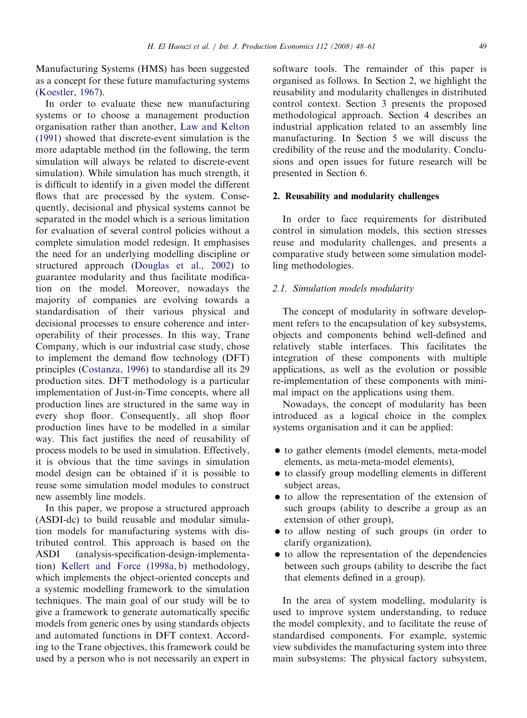Manufacturing Systems (HMS) has been suggested as a concept for these future manufacturing systems [\(Koestler, 1967](#page--1-0)).

In order to evaluate these new manufacturing systems or to choose a management production organisation rather than another, [Law and Kelton](#page--1-0) [\(1991\)](#page--1-0) showed that discrete-event simulation is the more adaptable method (in the following, the term simulation will always be related to discrete-event simulation). While simulation has much strength, it is difficult to identify in a given model the different flows that are processed by the system. Consequently, decisional and physical systems cannot be separated in the model which is a serious limitation for evaluation of several control policies without a complete simulation model redesign. It emphasises the need for an underlying modelling discipline or structured approach [\(Douglas et al., 2002](#page--1-0)) to guarantee modularity and thus facilitate modification on the model. Moreover, nowadays the majority of companies are evolving towards a standardisation of their various physical and decisional processes to ensure coherence and interoperability of their processes. In this way, Trane Company, which is our industrial case study, chose to implement the demand flow technology (DFT) principles ([Costanza, 1996](#page--1-0)) to standardise all its 29 production sites. DFT methodology is a particular implementation of Just-in-Time concepts, where all production lines are structured in the same way in every shop floor. Consequently, all shop floor production lines have to be modelled in a similar way. This fact justifies the need of reusability of process models to be used in simulation. Effectively, it is obvious that the time savings in simulation model design can be obtained if it is possible to reuse some simulation model modules to construct new assembly line models.

In this paper, we propose a structured approach (ASDI-dc) to build reusable and modular simulation models for manufacturing systems with distributed control. This approach is based on the ASDI (analysis-specification-design-implementation) [Kellert and Force \(1998a, b\)](#page--1-0) methodology, which implements the object-oriented concepts and a systemic modelling framework to the simulation techniques. The main goal of our study will be to give a framework to generate automatically specific models from generic ones by using standards objects and automated functions in DFT context. According to the Trane objectives, this framework could be used by a person who is not necessarily an expert in

software tools. The remainder of this paper is organised as follows. In Section 2, we highlight the reusability and modularity challenges in distributed control context. Section 3 presents the proposed methodological approach. Section 4 describes an industrial application related to an assembly line manufacturing. In Section 5 we will discuss the credibility of the reuse and the modularity. Conclusions and open issues for future research will be presented in Section 6.

### 2. Reusability and modularity challenges

In order to face requirements for distributed control in simulation models, this section stresses reuse and modularity challenges, and presents a comparative study between some simulation modelling methodologies.

## 2.1. Simulation models modularity

The concept of modularity in software development refers to the encapsulation of key subsystems, objects and components behind well-defined and relatively stable interfaces. This facilitates the integration of these components with multiple applications, as well as the evolution or possible re-implementation of these components with minimal impact on the applications using them.

Nowadays, the concept of modularity has been introduced as a logical choice in the complex systems organisation and it can be applied:

- $\bullet$  to gather elements (model elements, meta-model elements, as meta-meta-model elements),
- $\bullet$  to classify group modelling elements in different subject areas,
- $\bullet$  to allow the representation of the extension of such groups (ability to describe a group as an extension of other group),
- $\bullet$  to allow nesting of such groups (in order to clarify organization),
- $\bullet$  to allow the representation of the dependencies between such groups (ability to describe the fact that elements defined in a group).

In the area of system modelling, modularity is used to improve system understanding, to reduce the model complexity, and to facilitate the reuse of standardised components. For example, systemic view subdivides the manufacturing system into three main subsystems: The physical factory subsystem,